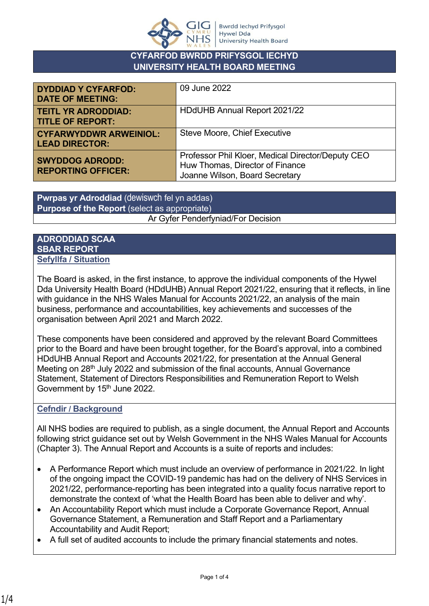

### **CYFARFOD BWRDD PRIFYSGOL IECHYD UNIVERSITY HEALTH BOARD MEETING**

| <b>DYDDIAD Y CYFARFOD:</b><br><b>DATE OF MEETING:</b>  | 09 June 2022                                                                                                           |
|--------------------------------------------------------|------------------------------------------------------------------------------------------------------------------------|
| <b>TEITL YR ADRODDIAD:</b><br><b>TITLE OF REPORT:</b>  | HDdUHB Annual Report 2021/22                                                                                           |
| <b>CYFARWYDDWR ARWEINIOL:</b><br><b>LEAD DIRECTOR:</b> | <b>Steve Moore, Chief Executive</b>                                                                                    |
| <b>SWYDDOG ADRODD:</b><br><b>REPORTING OFFICER:</b>    | Professor Phil Kloer, Medical Director/Deputy CEO<br>Huw Thomas, Director of Finance<br>Joanne Wilson, Board Secretary |

**Pwrpas yr Adroddiad** (dewiswch fel yn addas) **Purpose of the Report** (select as appropriate) Ar Gyfer Penderfyniad/For Decision

#### **ADRODDIAD SCAA SBAR REPORT Sefyllfa / Situation**

The Board is asked, in the first instance, to approve the individual components of the Hywel Dda University Health Board (HDdUHB) Annual Report 2021/22, ensuring that it reflects, in line with guidance in the NHS Wales Manual for Accounts 2021/22, an analysis of the main business, performance and accountabilities, key achievements and successes of the organisation between April 2021 and March 2022.

These components have been considered and approved by the relevant Board Committees prior to the Board and have been brought together, for the Board's approval, into a combined HDdUHB Annual Report and Accounts 2021/22, for presentation at the Annual General Meeting on 28<sup>th</sup> July 2022 and submission of the final accounts, Annual Governance Statement, Statement of Directors Responsibilities and Remuneration Report to Welsh Government by 15<sup>th</sup> June 2022.

### **Cefndir / Background**

All NHS bodies are required to publish, as a single document, the Annual Report and Accounts following strict guidance set out by Welsh Government in the NHS Wales Manual for Accounts (Chapter 3). The Annual Report and Accounts is a suite of reports and includes:

- A Performance Report which must include an overview of performance in 2021/22. In light of the ongoing impact the COVID-19 pandemic has had on the delivery of NHS Services in 2021/22, performance-reporting has been integrated into a quality focus narrative report to demonstrate the context of 'what the Health Board has been able to deliver and why'.
- An Accountability Report which must include a Corporate Governance Report, Annual Governance Statement, a Remuneration and Staff Report and a Parliamentary Accountability and Audit Report;
- A full set of audited accounts to include the primary financial statements and notes.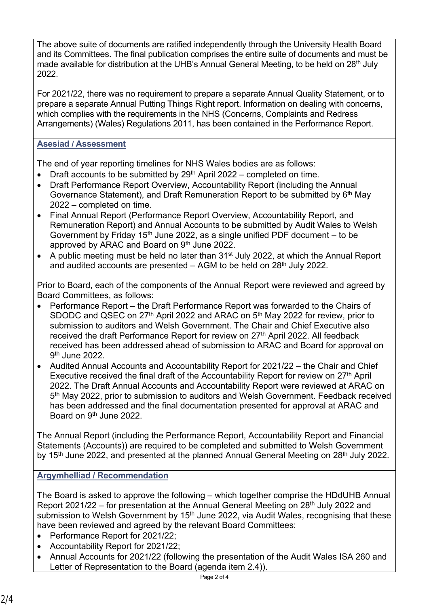The above suite of documents are ratified independently through the University Health Board and its Committees. The final publication comprises the entire suite of documents and must be made available for distribution at the UHB's Annual General Meeting, to be held on 28<sup>th</sup> July 2022.

For 2021/22, there was no requirement to prepare a separate Annual Quality Statement, or to prepare a separate Annual Putting Things Right report. Information on dealing with concerns, which complies with the requirements in the NHS (Concerns, Complaints and Redress Arrangements) (Wales) Regulations 2011, has been contained in the Performance Report.

## **Asesiad / Assessment**

The end of year reporting timelines for NHS Wales bodies are as follows:

- Draft accounts to be submitted by  $29<sup>th</sup>$  April 2022 completed on time.
- Draft Performance Report Overview, Accountability Report (including the Annual Governance Statement), and Draft Remuneration Report to be submitted by  $6<sup>th</sup>$  May 2022 – completed on time.
- Final Annual Report (Performance Report Overview, Accountability Report, and Remuneration Report) and Annual Accounts to be submitted by Audit Wales to Welsh Government by Friday 15<sup>th</sup> June 2022, as a single unified PDF document – to be approved by ARAC and Board on 9th June 2022.
- A public meeting must be held no later than 31<sup>st</sup> July 2022, at which the Annual Report and audited accounts are presented  $-$  AGM to be held on 28<sup>th</sup> July 2022.

Prior to Board, each of the components of the Annual Report were reviewed and agreed by Board Committees, as follows:

- Performance Report the Draft Performance Report was forwarded to the Chairs of SDODC and QSEC on 27<sup>th</sup> April 2022 and ARAC on 5<sup>th</sup> May 2022 for review, prior to submission to auditors and Welsh Government. The Chair and Chief Executive also received the draft Performance Report for review on 27<sup>th</sup> April 2022. All feedback received has been addressed ahead of submission to ARAC and Board for approval on 9<sup>th</sup> June 2022.
- Audited Annual Accounts and Accountability Report for 2021/22 the Chair and Chief Executive received the final draft of the Accountability Report for review on 27<sup>th</sup> April 2022. The Draft Annual Accounts and Accountability Report were reviewed at ARAC on 5<sup>th</sup> May 2022, prior to submission to auditors and Welsh Government. Feedback received has been addressed and the final documentation presented for approval at ARAC and Board on 9<sup>th</sup> June 2022.

The Annual Report (including the Performance Report, Accountability Report and Financial Statements (Accounts)) are required to be completed and submitted to Welsh Government by 15<sup>th</sup> June 2022, and presented at the planned Annual General Meeting on 28<sup>th</sup> July 2022.

# **Argymhelliad / Recommendation**

The Board is asked to approve the following – which together comprise the HDdUHB Annual Report 2021/22 – for presentation at the Annual General Meeting on 28<sup>th</sup> July 2022 and submission to Welsh Government by 15<sup>th</sup> June 2022, via Audit Wales, recognising that these have been reviewed and agreed by the relevant Board Committees:

- Performance Report for 2021/22;
- Accountability Report for 2021/22;
- Annual Accounts for 2021/22 (following the presentation of the Audit Wales ISA 260 and Letter of Representation to the Board (agenda item 2.4)).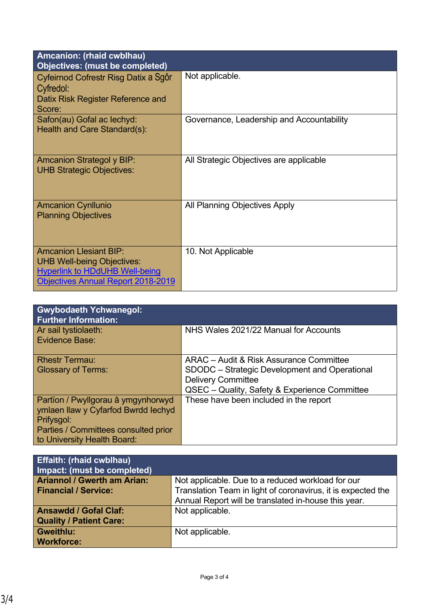| Amcanion: (rhaid cwblhau)<br><b>Objectives: (must be completed)</b>                                                                                      |                                           |
|----------------------------------------------------------------------------------------------------------------------------------------------------------|-------------------------------------------|
| Cyfeirnod Cofrestr Risg Datix a Sgôr<br>Cyfredol:<br>Datix Risk Register Reference and<br>Score:                                                         | Not applicable.                           |
| Safon(au) Gofal ac lechyd:<br>Health and Care Standard(s):                                                                                               | Governance, Leadership and Accountability |
| <b>Amcanion Strategol y BIP:</b><br><b>UHB Strategic Objectives:</b>                                                                                     | All Strategic Objectives are applicable   |
| <b>Amcanion Cynllunio</b><br><b>Planning Objectives</b>                                                                                                  | All Planning Objectives Apply             |
| <b>Amcanion Llesiant BIP:</b><br><b>UHB Well-being Objectives:</b><br><b>Hyperlink to HDdUHB Well-being</b><br><b>Objectives Annual Report 2018-2019</b> | 10. Not Applicable                        |

| <b>Gwybodaeth Ychwanegol:</b><br><b>Further Information:</b>                                                                                                   |                                                                                                                                                                        |
|----------------------------------------------------------------------------------------------------------------------------------------------------------------|------------------------------------------------------------------------------------------------------------------------------------------------------------------------|
| Ar sail tystiolaeth:<br>Evidence Base:                                                                                                                         | NHS Wales 2021/22 Manual for Accounts                                                                                                                                  |
| <b>Rhestr Termau:</b><br><b>Glossary of Terms:</b>                                                                                                             | ARAC - Audit & Risk Assurance Committee<br>SDODC – Strategic Development and Operational<br><b>Delivery Committee</b><br>QSEC - Quality, Safety & Experience Committee |
| Partïon / Pwyllgorau â ymgynhorwyd<br>ymlaen llaw y Cyfarfod Bwrdd Iechyd<br>Prifysgol:<br>Parties / Committees consulted prior<br>to University Health Board: | These have been included in the report                                                                                                                                 |

| <b>Effaith: (rhaid cwblhau)</b><br>Impact: (must be completed) |                                                              |
|----------------------------------------------------------------|--------------------------------------------------------------|
| <b>Ariannol / Gwerth am Arian:</b>                             | Not applicable. Due to a reduced workload for our            |
| <b>Financial / Service:</b>                                    | Translation Team in light of coronavirus, it is expected the |
|                                                                | Annual Report will be translated in-house this year.         |
| <b>Ansawdd / Gofal Claf:</b>                                   | Not applicable.                                              |
| <b>Quality / Patient Care:</b>                                 |                                                              |
| Gweithlu:                                                      | Not applicable.                                              |
| <b>Workforce:</b>                                              |                                                              |